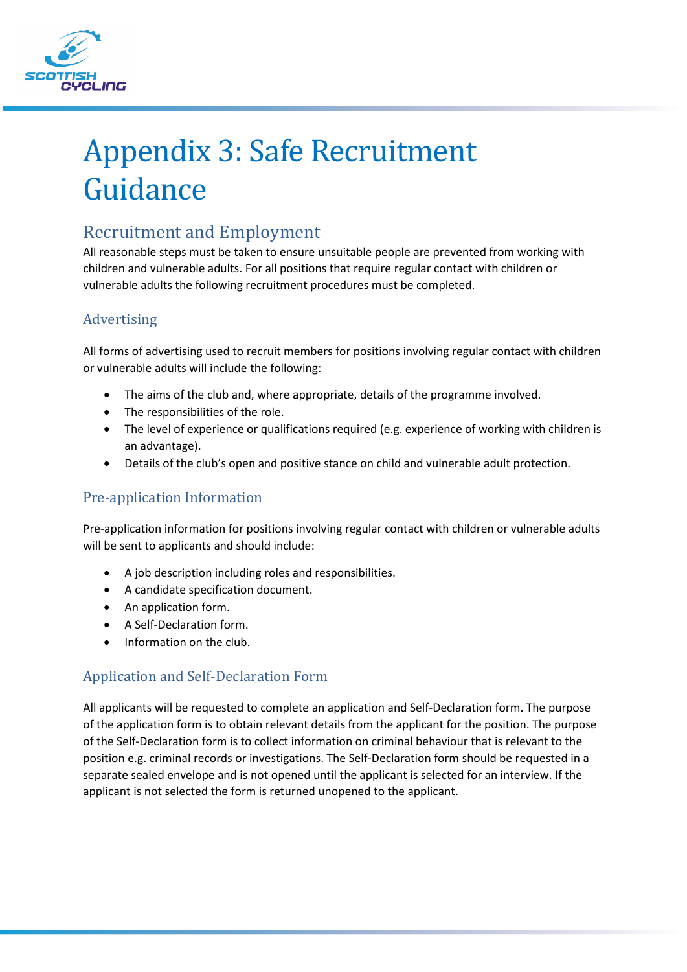

# Appendix 3: Safe Recruitment Guidance

# Recruitment and Employment

All reasonable steps must be taken to ensure unsuitable people are prevented from working with children and vulnerable adults. For all positions that require regular contact with children or vulnerable adults the following recruitment procedures must be completed.

# Advertising

All forms of advertising used to recruit members for positions involving regular contact with children or vulnerable adults will include the following:

- The aims of the club and, where appropriate, details of the programme involved.
- The responsibilities of the role.
- The level of experience or qualifications required (e.g. experience of working with children is an advantage).
- Details of the club's open and positive stance on child and vulnerable adult protection.

# Pre-application Information

Pre-application information for positions involving regular contact with children or vulnerable adults will be sent to applicants and should include:

- A job description including roles and responsibilities.
- A candidate specification document.
- An application form.
- A Self-Declaration form.
- Information on the club.

# Application and Self-Declaration Form

All applicants will be requested to complete an application and Self-Declaration form. The purpose of the application form is to obtain relevant details from the applicant for the position. The purpose of the Self-Declaration form is to collect information on criminal behaviour that is relevant to the position e.g. criminal records or investigations. The Self-Declaration form should be requested in a separate sealed envelope and is not opened until the applicant is selected for an interview. If the applicant is not selected the form is returned unopened to the applicant.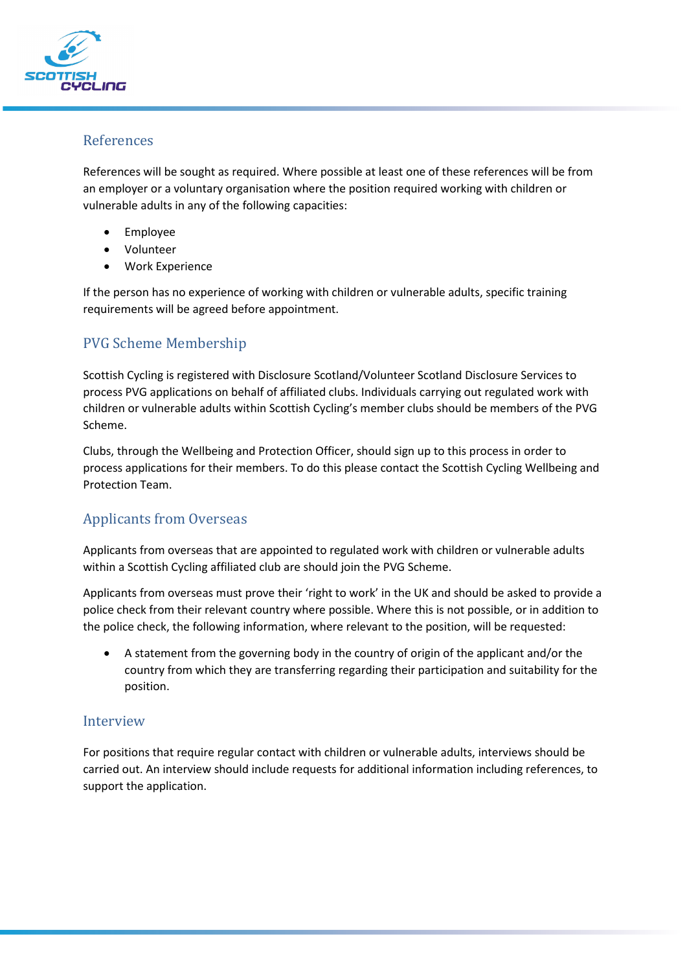

#### References

References will be sought as required. Where possible at least one of these references will be from an employer or a voluntary organisation where the position required working with children or vulnerable adults in any of the following capacities:

- Employee
- Volunteer
- Work Experience

If the person has no experience of working with children or vulnerable adults, specific training requirements will be agreed before appointment.

# PVG Scheme Membership

Scottish Cycling is registered with Disclosure Scotland/Volunteer Scotland Disclosure Services to process PVG applications on behalf of affiliated clubs. Individuals carrying out regulated work with children or vulnerable adults within Scottish Cycling's member clubs should be members of the PVG Scheme.

Clubs, through the Wellbeing and Protection Officer, should sign up to this process in order to process applications for their members. To do this please contact the Scottish Cycling Wellbeing and Protection Team.

# Applicants from Overseas

Applicants from overseas that are appointed to regulated work with children or vulnerable adults within a Scottish Cycling affiliated club are should join the PVG Scheme.

Applicants from overseas must prove their 'right to work' in the UK and should be asked to provide a police check from their relevant country where possible. Where this is not possible, or in addition to the police check, the following information, where relevant to the position, will be requested:

• A statement from the governing body in the country of origin of the applicant and/or the country from which they are transferring regarding their participation and suitability for the position.

#### Interview

For positions that require regular contact with children or vulnerable adults, interviews should be carried out. An interview should include requests for additional information including references, to support the application.